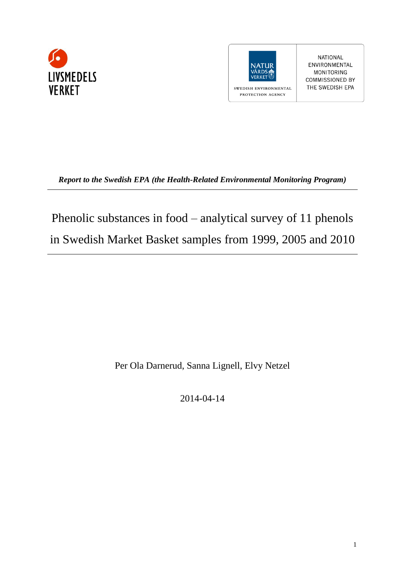



**NATIONAL** ENVIRONMENTAL MONITORING COMMISSIONED BY THE SWEDISH EPA

*Report to the Swedish EPA (the Health-Related Environmental Monitoring Program)*

Phenolic substances in food – analytical survey of 11 phenols in Swedish Market Basket samples from 1999, 2005 and 2010

Per Ola Darnerud, Sanna Lignell, Elvy Netzel

2014-04-14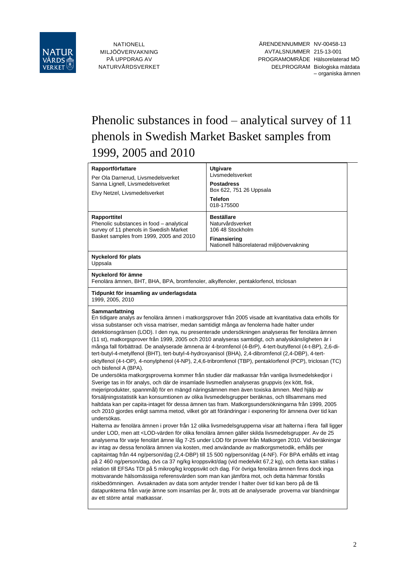

NATIONELL MILJÖÖVERVAKNING PÅ UPPDRAG AV NATURVÅRDSVERKET

# Phenolic substances in food – analytical survey of 11 phenols in Swedish Market Basket samples from 1999, 2005 and 2010

| Rapportförfattare<br>Per Ola Darnerud, Livsmedelsverket<br>Sanna Lignell, Livsmedelsverket                | <b>Utgivare</b><br>Livsmedelsverket<br><b>Postadress</b><br>Box 622, 751 26 Uppsala                                                                                                                                                                                                                                                                                                                                                                                                                                                                                                                                                                                                                                                                                                                                                                                                                                                                                                                                                                                                                                                                                                                                                                                                                                                                                                                                                                                                                                                                                                                                                                                                                                                                                                                                                                                                                                                                                                                                                                                                                                                                                                                                                                                                                                                                                                                                                                                                                      |  |  |  |  |  |  |  |  |  |
|-----------------------------------------------------------------------------------------------------------|----------------------------------------------------------------------------------------------------------------------------------------------------------------------------------------------------------------------------------------------------------------------------------------------------------------------------------------------------------------------------------------------------------------------------------------------------------------------------------------------------------------------------------------------------------------------------------------------------------------------------------------------------------------------------------------------------------------------------------------------------------------------------------------------------------------------------------------------------------------------------------------------------------------------------------------------------------------------------------------------------------------------------------------------------------------------------------------------------------------------------------------------------------------------------------------------------------------------------------------------------------------------------------------------------------------------------------------------------------------------------------------------------------------------------------------------------------------------------------------------------------------------------------------------------------------------------------------------------------------------------------------------------------------------------------------------------------------------------------------------------------------------------------------------------------------------------------------------------------------------------------------------------------------------------------------------------------------------------------------------------------------------------------------------------------------------------------------------------------------------------------------------------------------------------------------------------------------------------------------------------------------------------------------------------------------------------------------------------------------------------------------------------------------------------------------------------------------------------------------------------------|--|--|--|--|--|--|--|--|--|
| Elvy Netzel, Livsmedelsverket                                                                             | <b>Telefon</b><br>018-175500                                                                                                                                                                                                                                                                                                                                                                                                                                                                                                                                                                                                                                                                                                                                                                                                                                                                                                                                                                                                                                                                                                                                                                                                                                                                                                                                                                                                                                                                                                                                                                                                                                                                                                                                                                                                                                                                                                                                                                                                                                                                                                                                                                                                                                                                                                                                                                                                                                                                             |  |  |  |  |  |  |  |  |  |
| Rapporttitel<br>Phenolic substances in food - analytical<br>survey of 11 phenols in Swedish Market        | <b>Beställare</b><br>Naturvårdsverket<br>106 48 Stockholm                                                                                                                                                                                                                                                                                                                                                                                                                                                                                                                                                                                                                                                                                                                                                                                                                                                                                                                                                                                                                                                                                                                                                                                                                                                                                                                                                                                                                                                                                                                                                                                                                                                                                                                                                                                                                                                                                                                                                                                                                                                                                                                                                                                                                                                                                                                                                                                                                                                |  |  |  |  |  |  |  |  |  |
| Basket samples from 1999, 2005 and 2010                                                                   | <b>Finansiering</b><br>Nationell hälsorelaterad miljöövervakning                                                                                                                                                                                                                                                                                                                                                                                                                                                                                                                                                                                                                                                                                                                                                                                                                                                                                                                                                                                                                                                                                                                                                                                                                                                                                                                                                                                                                                                                                                                                                                                                                                                                                                                                                                                                                                                                                                                                                                                                                                                                                                                                                                                                                                                                                                                                                                                                                                         |  |  |  |  |  |  |  |  |  |
| Nyckelord för plats<br>Uppsala                                                                            |                                                                                                                                                                                                                                                                                                                                                                                                                                                                                                                                                                                                                                                                                                                                                                                                                                                                                                                                                                                                                                                                                                                                                                                                                                                                                                                                                                                                                                                                                                                                                                                                                                                                                                                                                                                                                                                                                                                                                                                                                                                                                                                                                                                                                                                                                                                                                                                                                                                                                                          |  |  |  |  |  |  |  |  |  |
| Nyckelord för ämne<br>Fenolära ämnen, BHT, BHA, BPA, bromfenoler, alkylfenoler, pentaklorfenol, triclosan |                                                                                                                                                                                                                                                                                                                                                                                                                                                                                                                                                                                                                                                                                                                                                                                                                                                                                                                                                                                                                                                                                                                                                                                                                                                                                                                                                                                                                                                                                                                                                                                                                                                                                                                                                                                                                                                                                                                                                                                                                                                                                                                                                                                                                                                                                                                                                                                                                                                                                                          |  |  |  |  |  |  |  |  |  |
| Tidpunkt för insamling av underlagsdata<br>1999, 2005, 2010                                               |                                                                                                                                                                                                                                                                                                                                                                                                                                                                                                                                                                                                                                                                                                                                                                                                                                                                                                                                                                                                                                                                                                                                                                                                                                                                                                                                                                                                                                                                                                                                                                                                                                                                                                                                                                                                                                                                                                                                                                                                                                                                                                                                                                                                                                                                                                                                                                                                                                                                                                          |  |  |  |  |  |  |  |  |  |
| och bisfenol A (BPA).<br>undersökas.<br>av ett större antal matkassar.                                    | Sammanfattning<br>En tidigare analys av fenolära ämnen i matkorgsprover från 2005 visade att kvantitativa data erhölls för<br>vissa substanser och vissa matriser, medan samtidigt många av fenolerna hade halter under<br>detektionsgränsen (LOD). I den nya, nu presenterade undersökningen analyseras fler fenolära ämnen<br>(11 st), matkorgsprover från 1999, 2005 och 2010 analyseras samtidigt, och analyskänsligheten är i<br>många fall förbättrad. De analyserade ämnena är 4-bromfenol (4-BrP), 4-tert-butylfenol (4-t-BP), 2,6-di-<br>tert-butyl-4-metylfenol (BHT), tert-butyl-4-hydroxyanisol (BHA), 2,4-dibromfenol (2,4-DBP), 4-tert-<br>oktylfenol (4-t-OP), 4-nonylphenol (4-NP), 2,4,6-tribromfenol (TBP), pentaklorfenol (PCP), triclosan (TC)<br>De undersökta matkorgsproverna kommer från studier där matkassar från vanliga livsmedelskedjor i<br>Sverige tas in för analys, och där de insamlade livsmedlen analyseras gruppvis (ex kött, fisk,<br>mejeriprodukter, spannmål) för en mängd näringsämnen men även toxiska ämnen. Med hjälp av<br>försäljningsstatistik kan konsumtionen av olika livsmedelsgrupper beräknas, och tillsammans med<br>haltdata kan per capita-intaget för dessa ämnen tas fram. Matkorgsundersökningarna från 1999, 2005<br>och 2010 gjordes enligt samma metod, vilket gör att förändringar i exponering för ämnena över tid kan<br>Halterna av fenolära ämnen i prover från 12 olika livsmedelsgrupperna visar att halterna i flera fall ligger<br>under LOD, men att <lod-värden 25<br="" av="" de="" fenolära="" för="" gäller="" livsmedelsgrupper.="" olika="" skilda="" ämnen="">analyserna för varje fenolärt ämne låg 7-25 under LOD för prover från Matkorgen 2010. Vid beräkningar<br/>av intag av dessa fenolära ämnen via kosten, med användande av matkorgsmetodik, erhålls per<br/>capitaintag från 44 ng/person/dag (2,4-DBP) till 15 500 ng/person/dag (4-NF). För BPA erhålls ett intag<br/>på 2 460 ng/person/dag, dvs ca 37 ng/kg kroppsvikt/dag (vid medelvikt 67,2 kg), och detta kan ställas i<br/>relation till EFSAs TDI på 5 mikrog/kg kroppsvikt och dag. För övriga fenolära ämnen finns dock inga<br/>motsvarande hälsomässiga referensvärden som man kan jämföra mot, och detta hämmar förstås<br/>riskbedömningen. Avsaknaden av data som antyder trender I halter över tid kan bero på de få<br/>datapunkterna från varje ämne som insamlas per år, trots att de analyserade proverna var blandningar</lod-värden> |  |  |  |  |  |  |  |  |  |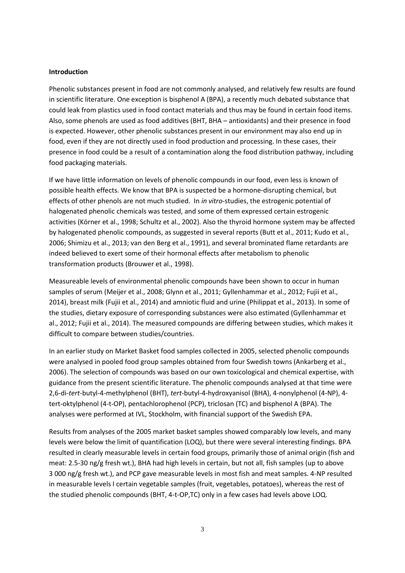#### **Introduction**

Phenolic substances present in food are not commonly analysed, and relatively few results are found in scientific literature. One exception is bisphenol A (BPA), a recently much debated substance that could leak from plastics used in food contact materials and thus may be found in certain food items. Also, some phenols are used as food additives (BHT, BHA – antioxidants) and their presence in food is expected. However, other phenolic substances present in our environment may also end up in food, even if they are not directly used in food production and processing. In these cases, their presence in food could be a result of a contamination along the food distribution pathway, including food packaging materials.

If we have little information on levels of phenolic compounds in our food, even less is known of possible health effects. We know that BPA is suspected be a hormone-disrupting chemical, but effects of other phenols are not much studied. In *in vitro*-studies, the estrogenic potential of halogenated phenolic chemicals was tested, and some of them expressed certain estrogenic activities (Körner et al., 1998; Schultz et al., 2002). Also the thyroid hormone system may be affected by halogenated phenolic compounds, as suggested in several reports (Butt et al., 2011; Kudo et al., 2006; Shimizu et al., 2013; van den Berg et al., 1991), and several brominated flame retardants are indeed believed to exert some of their hormonal effects after metabolism to phenolic transformation products (Brouwer et al., 1998).

Measureable levels of environmental phenolic compounds have been shown to occur in human samples of serum (Meijer et al., 2008; Glynn et al., 2011; Gyllenhammar et al., 2012; Fujii et al., 2014), breast milk (Fujii et al., 2014) and amniotic fluid and urine (Philippat et al., 2013). In some of the studies, dietary exposure of corresponding substances were also estimated (Gyllenhammar et al., 2012; Fujii et al., 2014). The measured compounds are differing between studies, which makes it difficult to compare between studies/countries.

In an earlier study on Market Basket food samples collected in 2005, selected phenolic compounds were analysed in pooled food group samples obtained from four Swedish towns (Ankarberg et al., 2006). The selection of compounds was based on our own toxicological and chemical expertise, with guidance from the present scientific literature. The phenolic compounds analysed at that time were 2,6-di-*tert*-butyl-4-methylphenol (BHT), *tert*-butyl-4-hydroxyanisol (BHA), 4-nonylphenol (4-NP), 4 tert-oktylphenol (4-t-OP), pentachlorophenol (PCP), triclosan (TC) and bisphenol A (BPA). The analyses were performed at IVL, Stockholm, with financial support of the Swedish EPA.

Results from analyses of the 2005 market basket samples showed comparably low levels, and many levels were below the limit of quantification (LOQ), but there were several interesting findings. BPA resulted in clearly measurable levels in certain food groups, primarily those of animal origin (fish and meat: 2.5-30 ng/g fresh wt.), BHA had high levels in certain, but not all, fish samples (up to above 3 000 ng/g fresh wt.), and PCP gave measurable levels in most fish and meat samples. 4-NP resulted in measurable levels I certain vegetable samples (fruit, vegetables, potatoes), whereas the rest of the studied phenolic compounds (BHT, 4-t-OP,TC) only in a few cases had levels above LOQ.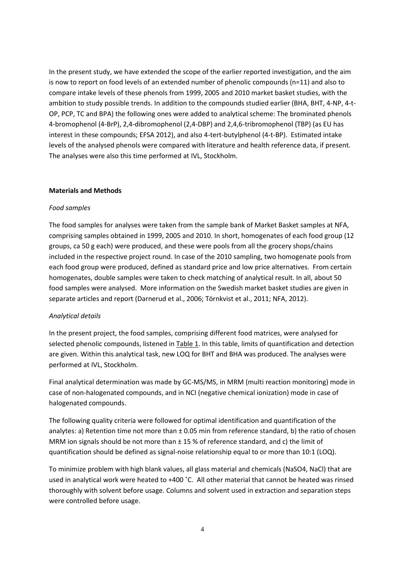In the present study, we have extended the scope of the earlier reported investigation, and the aim is now to report on food levels of an extended number of phenolic compounds (n=11) and also to compare intake levels of these phenols from 1999, 2005 and 2010 market basket studies, with the ambition to study possible trends. In addition to the compounds studied earlier (BHA, BHT, 4-NP, 4-t-OP, PCP, TC and BPA) the following ones were added to analytical scheme: The brominated phenols 4-bromophenol (4-BrP), 2,4-dibromophenol (2,4-DBP) and 2,4,6-tribromophenol (TBP) (as EU has interest in these compounds; EFSA 2012), and also 4-tert-butylphenol (4-t-BP). Estimated intake levels of the analysed phenols were compared with literature and health reference data, if present. The analyses were also this time performed at IVL, Stockholm.

#### **Materials and Methods**

#### *Food samples*

The food samples for analyses were taken from the sample bank of Market Basket samples at NFA, comprising samples obtained in 1999, 2005 and 2010. In short, homogenates of each food group (12 groups, ca 50 g each) were produced, and these were pools from all the grocery shops/chains included in the respective project round. In case of the 2010 sampling, two homogenate pools from each food group were produced, defined as standard price and low price alternatives. From certain homogenates, double samples were taken to check matching of analytical result. In all, about 50 food samples were analysed. More information on the Swedish market basket studies are given in separate articles and report (Darnerud et al., 2006; Törnkvist et al., 2011; NFA, 2012).

# *Analytical details*

In the present project, the food samples, comprising different food matrices, were analysed for selected phenolic compounds, listened in Table 1. In this table, limits of quantification and detection are given. Within this analytical task, new LOQ for BHT and BHA was produced. The analyses were performed at IVL, Stockholm.

Final analytical determination was made by GC-MS/MS, in MRM (multi reaction monitoring) mode in case of non-halogenated compounds, and in NCI (negative chemical ionization) mode in case of halogenated compounds.

The following quality criteria were followed for optimal identification and quantification of the analytes: a) Retention time not more than  $\pm$  0.05 min from reference standard, b) the ratio of chosen MRM ion signals should be not more than  $\pm$  15 % of reference standard, and c) the limit of quantification should be defined as signal-noise relationship equal to or more than 10:1 (LOQ).

To minimize problem with high blank values, all glass material and chemicals (NaSO4, NaCl) that are used in analytical work were heated to +400 ˚C. All other material that cannot be heated was rinsed thoroughly with solvent before usage. Columns and solvent used in extraction and separation steps were controlled before usage.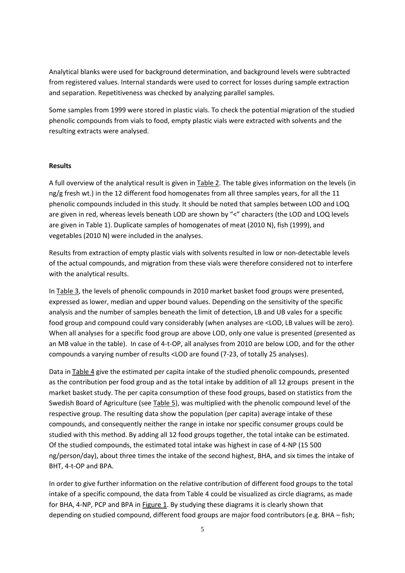Analytical blanks were used for background determination, and background levels were subtracted from registered values. Internal standards were used to correct for losses during sample extraction and separation. Repetitiveness was checked by analyzing parallel samples.

Some samples from 1999 were stored in plastic vials. To check the potential migration of the studied phenolic compounds from vials to food, empty plastic vials were extracted with solvents and the resulting extracts were analysed.

# **Results**

A full overview of the analytical result is given in Table 2. The table gives information on the levels (in ng/g fresh wt.) in the 12 different food homogenates from all three samples years, for all the 11 phenolic compounds included in this study. It should be noted that samples between LOD and LOQ are given in red, whereas levels beneath LOD are shown by "<" characters (the LOD and LOQ levels are given in Table 1). Duplicate samples of homogenates of meat (2010 N), fish (1999), and vegetables (2010 N) were included in the analyses.

Results from extraction of empty plastic vials with solvents resulted in low or non-detectable levels of the actual compounds, and migration from these vials were therefore considered not to interfere with the analytical results.

In Table 3, the levels of phenolic compounds in 2010 market basket food groups were presented, expressed as lower, median and upper bound values. Depending on the sensitivity of the specific analysis and the number of samples beneath the limit of detection, LB and UB vales for a specific food group and compound could vary considerably (when analyses are <LOD, LB values will be zero). When all analyses for a specific food group are above LOD, only one value is presented (presented as an MB value in the table). In case of 4-t-OP, all analyses from 2010 are below LOD, and for the other compounds a varying number of results <LOD are found (7-23, of totally 25 analyses).

Data in Table 4 give the estimated per capita intake of the studied phenolic compounds, presented as the contribution per food group and as the total intake by addition of all 12 groups present in the market basket study. The per capita consumption of these food groups, based on statistics from the Swedish Board of Agriculture (see Table 5), was multiplied with the phenolic compound level of the respective group. The resulting data show the population (per capita) average intake of these compounds, and consequently neither the range in intake nor specific consumer groups could be studied with this method. By adding all 12 food groups together, the total intake can be estimated. Of the studied compounds, the estimated total intake was highest in case of 4-NP (15 500 ng/person/day), about three times the intake of the second highest, BHA, and six times the intake of BHT, 4-t-OP and BPA.

In order to give further information on the relative contribution of different food groups to the total intake of a specific compound, the data from Table 4 could be visualized as circle diagrams, as made for BHA, 4-NP, PCP and BPA in Figure 1. By studying these diagrams it is clearly shown that depending on studied compound, different food groups are major food contributors (e.g. BHA – fish;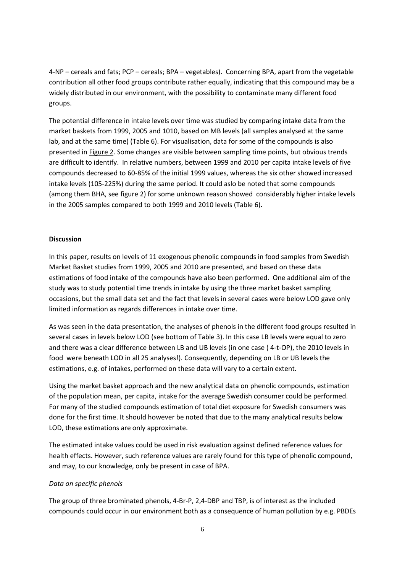4-NP – cereals and fats; PCP – cereals; BPA – vegetables). Concerning BPA, apart from the vegetable contribution all other food groups contribute rather equally, indicating that this compound may be a widely distributed in our environment, with the possibility to contaminate many different food groups.

The potential difference in intake levels over time was studied by comparing intake data from the market baskets from 1999, 2005 and 1010, based on MB levels (all samples analysed at the same lab, and at the same time) (Table 6). For visualisation, data for some of the compounds is also presented in Figure 2. Some changes are visible between sampling time points, but obvious trends are difficult to identify. In relative numbers, between 1999 and 2010 per capita intake levels of five compounds decreased to 60-85% of the initial 1999 values, whereas the six other showed increased intake levels (105-225%) during the same period. It could aslo be noted that some compounds (among them BHA, see figure 2) for some unknown reason showed considerably higher intake levels in the 2005 samples compared to both 1999 and 2010 levels (Table 6).

#### **Discussion**

In this paper, results on levels of 11 exogenous phenolic compounds in food samples from Swedish Market Basket studies from 1999, 2005 and 2010 are presented, and based on these data estimations of food intake of the compounds have also been performed. One additional aim of the study was to study potential time trends in intake by using the three market basket sampling occasions, but the small data set and the fact that levels in several cases were below LOD gave only limited information as regards differences in intake over time.

As was seen in the data presentation, the analyses of phenols in the different food groups resulted in several cases in levels below LOD (see bottom of Table 3). In this case LB levels were equal to zero and there was a clear difference between LB and UB levels (in one case ( 4-t-OP), the 2010 levels in food were beneath LOD in all 25 analyses!). Consequently, depending on LB or UB levels the estimations, e.g. of intakes, performed on these data will vary to a certain extent.

Using the market basket approach and the new analytical data on phenolic compounds, estimation of the population mean, per capita, intake for the average Swedish consumer could be performed. For many of the studied compounds estimation of total diet exposure for Swedish consumers was done for the first time. It should however be noted that due to the many analytical results below LOD, these estimations are only approximate.

The estimated intake values could be used in risk evaluation against defined reference values for health effects. However, such reference values are rarely found for this type of phenolic compound, and may, to our knowledge, only be present in case of BPA.

# *Data on specific phenols*

The group of three brominated phenols, 4-Br-P, 2,4-DBP and TBP, is of interest as the included compounds could occur in our environment both as a consequence of human pollution by e.g. PBDEs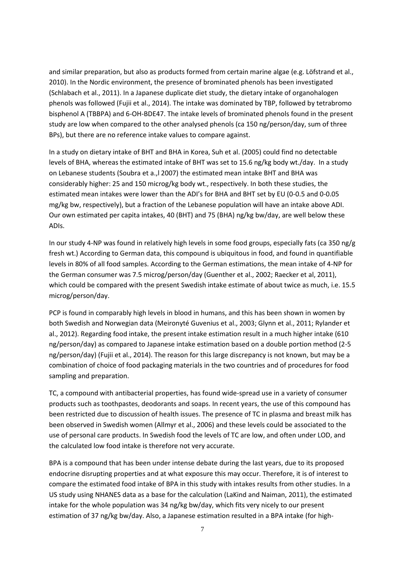and similar preparation, but also as products formed from certain marine algae (e.g. Löfstrand et al., 2010). In the Nordic environment, the presence of brominated phenols has been investigated (Schlabach et al., 2011). In a Japanese duplicate diet study, the dietary intake of organohalogen phenols was followed (Fujii et al., 2014). The intake was dominated by TBP, followed by tetrabromo bisphenol A (TBBPA) and 6-OH-BDE47. The intake levels of brominated phenols found in the present study are low when compared to the other analysed phenols (ca 150 ng/person/day, sum of three BPs), but there are no reference intake values to compare against.

In a study on dietary intake of BHT and BHA in Korea, Suh et al. (2005) could find no detectable levels of BHA, whereas the estimated intake of BHT was set to 15.6 ng/kg body wt./day. In a study on Lebanese students (Soubra et a.,l 2007) the estimated mean intake BHT and BHA was considerably higher: 25 and 150 microg/kg body wt., respectively. In both these studies, the estimated mean intakes were lower than the ADI's for BHA and BHT set by EU (0-0.5 and 0-0.05 mg/kg bw, respectively), but a fraction of the Lebanese population will have an intake above ADI. Our own estimated per capita intakes, 40 (BHT) and 75 (BHA) ng/kg bw/day, are well below these ADIs.

In our study 4-NP was found in relatively high levels in some food groups, especially fats (ca 350 ng/g fresh wt.) According to German data, this compound is ubiquitous in food, and found in quantifiable levels in 80% of all food samples. According to the German estimations, the mean intake of 4-NP for the German consumer was 7.5 microg/person/day (Guenther et al., 2002; Raecker et al, 2011), which could be compared with the present Swedish intake estimate of about twice as much, i.e. 15.5 microg/person/day.

PCP is found in comparably high levels in blood in humans, and this has been shown in women by both Swedish and Norwegian data (Meironyté Guvenius et al., 2003; Glynn et al., 2011; Rylander et al., 2012). Regarding food intake, the present intake estimation result in a much higher intake (610 ng/person/day) as compared to Japanese intake estimation based on a double portion method (2-5 ng/person/day) (Fujii et al., 2014). The reason for this large discrepancy is not known, but may be a combination of choice of food packaging materials in the two countries and of procedures for food sampling and preparation.

TC, a compound with antibacterial properties, has found wide-spread use in a variety of consumer products such as toothpastes, deodorants and soaps. In recent years, the use of this compound has been restricted due to discussion of health issues. The presence of TC in plasma and breast milk has been observed in Swedish women (Allmyr et al., 2006) and these levels could be associated to the use of personal care products. In Swedish food the levels of TC are low, and often under LOD, and the calculated low food intake is therefore not very accurate.

BPA is a compound that has been under intense debate during the last years, due to its proposed endocrine disrupting properties and at what exposure this may occur. Therefore, it is of interest to compare the estimated food intake of BPA in this study with intakes results from other studies. In a US study using NHANES data as a base for the calculation (LaKind and Naiman, 2011), the estimated intake for the whole population was 34 ng/kg bw/day, which fits very nicely to our present estimation of 37 ng/kg bw/day. Also, a Japanese estimation resulted in a BPA intake (for high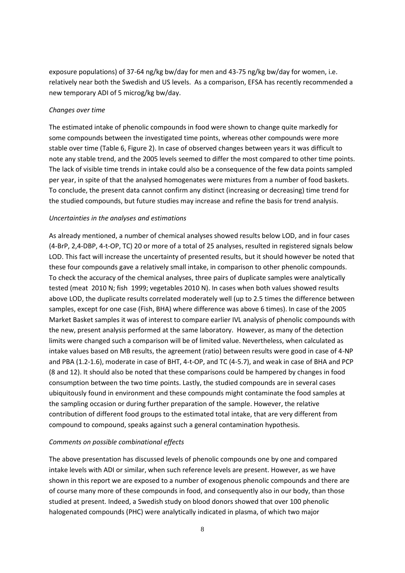exposure populations) of 37-64 ng/kg bw/day for men and 43-75 ng/kg bw/day for women, i.e. relatively near both the Swedish and US levels. As a comparison, EFSA has recently recommended a new temporary ADI of 5 microg/kg bw/day.

#### *Changes over time*

The estimated intake of phenolic compounds in food were shown to change quite markedly for some compounds between the investigated time points, whereas other compounds were more stable over time (Table 6, Figure 2). In case of observed changes between years it was difficult to note any stable trend, and the 2005 levels seemed to differ the most compared to other time points. The lack of visible time trends in intake could also be a consequence of the few data points sampled per year, in spite of that the analysed homogenates were mixtures from a number of food baskets. To conclude, the present data cannot confirm any distinct (increasing or decreasing) time trend for the studied compounds, but future studies may increase and refine the basis for trend analysis.

# *Uncertainties in the analyses and estimations*

As already mentioned, a number of chemical analyses showed results below LOD, and in four cases (4-BrP, 2,4-DBP, 4-t-OP, TC) 20 or more of a total of 25 analyses, resulted in registered signals below LOD. This fact will increase the uncertainty of presented results, but it should however be noted that these four compounds gave a relatively small intake, in comparison to other phenolic compounds. To check the accuracy of the chemical analyses, three pairs of duplicate samples were analytically tested (meat 2010 N; fish 1999; vegetables 2010 N). In cases when both values showed results above LOD, the duplicate results correlated moderately well (up to 2.5 times the difference between samples, except for one case (Fish, BHA) where difference was above 6 times). In case of the 2005 Market Basket samples it was of interest to compare earlier IVL analysis of phenolic compounds with the new, present analysis performed at the same laboratory. However, as many of the detection limits were changed such a comparison will be of limited value. Nevertheless, when calculated as intake values based on MB results, the agreement (ratio) between results were good in case of 4-NP and PBA (1.2-1.6), moderate in case of BHT, 4-t-OP, and TC (4-5.7), and weak in case of BHA and PCP (8 and 12). It should also be noted that these comparisons could be hampered by changes in food consumption between the two time points. Lastly, the studied compounds are in several cases ubiquitously found in environment and these compounds might contaminate the food samples at the sampling occasion or during further preparation of the sample. However, the relative contribution of different food groups to the estimated total intake, that are very different from compound to compound, speaks against such a general contamination hypothesis.

# *Comments on possible combinational effects*

The above presentation has discussed levels of phenolic compounds one by one and compared intake levels with ADI or similar, when such reference levels are present. However, as we have shown in this report we are exposed to a number of exogenous phenolic compounds and there are of course many more of these compounds in food, and consequently also in our body, than those studied at present. Indeed, a Swedish study on blood donors showed that over 100 phenolic halogenated compounds (PHC) were analytically indicated in plasma, of which two major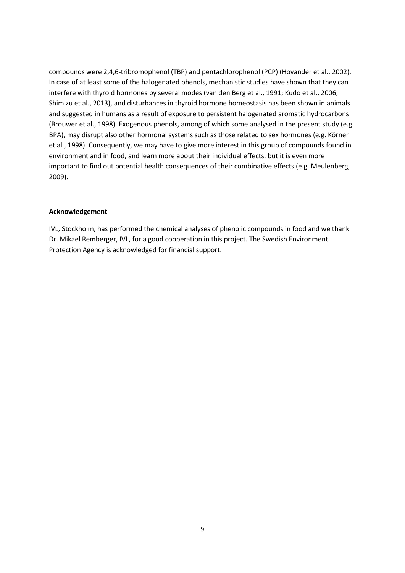compounds were 2,4,6-tribromophenol (TBP) and pentachlorophenol (PCP) (Hovander et al., 2002). In case of at least some of the halogenated phenols, mechanistic studies have shown that they can interfere with thyroid hormones by several modes (van den Berg et al., 1991; Kudo et al., 2006; Shimizu et al., 2013), and disturbances in thyroid hormone homeostasis has been shown in animals and suggested in humans as a result of exposure to persistent halogenated aromatic hydrocarbons (Brouwer et al., 1998). Exogenous phenols, among of which some analysed in the present study (e.g. BPA), may disrupt also other hormonal systems such as those related to sex hormones (e.g. Körner et al., 1998). Consequently, we may have to give more interest in this group of compounds found in environment and in food, and learn more about their individual effects, but it is even more important to find out potential health consequences of their combinative effects (e.g. Meulenberg, 2009).

#### **Acknowledgement**

IVL, Stockholm, has performed the chemical analyses of phenolic compounds in food and we thank Dr. Mikael Remberger, IVL, for a good cooperation in this project. The Swedish Environment Protection Agency is acknowledged for financial support.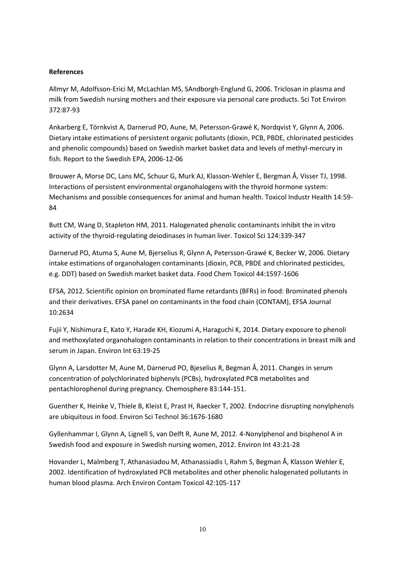#### **References**

Allmyr M, Adolfsson-Erici M, McLachlan MS, SAndborgh-Englund G, 2006. Triclosan in plasma and milk from Swedish nursing mothers and their exposure via personal care products. Sci Tot Environ 372:87-93

Ankarberg E, Törnkvist A, Darnerud PO, Aune, M, Petersson-Grawé K, Nordqvist Y, Glynn A, 2006. Dietary intake estimations of persistent organic pollutants (dioxin, PCB, PBDE, chlorinated pesticides and phenolic compounds) based on Swedish market basket data and levels of methyl-mercury in fish. Report to the Swedish EPA, 2006-12-06

Brouwer A, Morse DC, Lans MC, Schuur G, Murk AJ, Klasson-Wehler E, Bergman Å, Visser TJ, 1998. Interactions of persistent environmental organohalogens with the thyroid hormone system: Mechanisms and possible consequences for animal and human health. Toxicol Industr Health 14:59- 84

Butt CM, Wang D, Stapleton HM, 2011. Halogenated phenolic contaminants inhibit the in vitro activity of the thyroid-regulating deiodinases in human liver. Toxicol Sci 124:339-347

Darnerud PO, Atuma S, Aune M, Bjerselius R, Glynn A, Petersson-Grawé K, Becker W, 2006. Dietary intake estimations of organohalogen contaminants (dioxin, PCB, PBDE and chlorinated pesticides, e.g. DDT) based on Swedish market basket data. Food Chem Toxicol 44:1597-1606

EFSA, 2012. Scientific opinion on brominated flame retardants (BFRs) in food: Brominated phenols and their derivatives. EFSA panel on contaminants in the food chain (CONTAM), EFSA Journal 10:2634

Fujii Y, Nishimura E, Kato Y, Harade KH, Kiozumi A, Haraguchi K, 2014. Dietary exposure to phenoli and methoxylated organohalogen contaminants in relation to their concentrations in breast milk and serum in Japan. Environ Int 63:19-25

Glynn A, Larsdotter M, Aune M, Darnerud PO, Bjeselius R, Begman Å, 2011. Changes in serum concentration of polychlorinated biphenyls (PCBs), hydroxylated PCB metabolites and pentachlorophenol during pregnancy. Chemosphere 83:144-151.

Guenther K, Heinke V, Thiele B, Kleist E, Prast H, Raecker T, 2002. Endocrine disrupting nonylphenols are ubiquitous in food. Environ Sci Technol 36:1676-1680

Gyllenhammar I, Glynn A, Lignell S, van Delft R, Aune M, 2012. 4-Nonylphenol and bisphenol A in Swedish food and exposure in Swedish nursing women, 2012. Environ Int 43:21-28

Hovander L, Malmberg T, Athanasiadou M, Athanassiadis I, Rahm S, Begman Å, Klasson Wehler E, 2002. Identification of hydroxylated PCB metabolites and other phenolic halogenated pollutants in human blood plasma. Arch Environ Contam Toxicol 42:105-117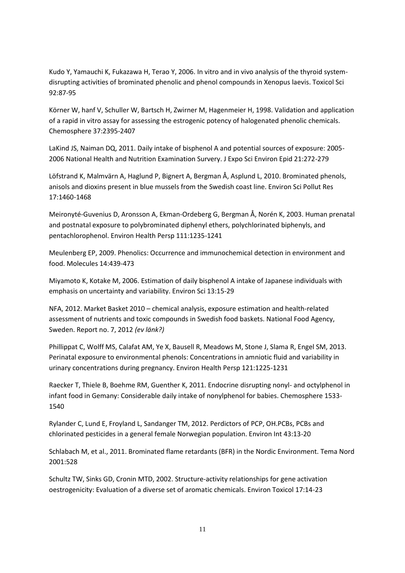Kudo Y, Yamauchi K, Fukazawa H, Terao Y, 2006. In vitro and in vivo analysis of the thyroid systemdisrupting activities of brominated phenolic and phenol compounds in Xenopus laevis. Toxicol Sci 92:87-95

Körner W, hanf V, Schuller W, Bartsch H, Zwirner M, Hagenmeier H, 1998. Validation and application of a rapid in vitro assay for assessing the estrogenic potency of halogenated phenolic chemicals. Chemosphere 37:2395-2407

LaKind JS, Naiman DQ, 2011. Daily intake of bisphenol A and potential sources of exposure: 2005- 2006 National Health and Nutrition Examination Survery. J Expo Sci Environ Epid 21:272-279

Löfstrand K, Malmvärn A, Haglund P, Bignert A, Bergman Å, Asplund L, 2010. Brominated phenols, anisols and dioxins present in blue mussels from the Swedish coast line. Environ Sci Pollut Res 17:1460-1468

Meironyté-Guvenius D, Aronsson A, Ekman-Ordeberg G, Bergman Å, Norén K, 2003. Human prenatal and postnatal exposure to polybrominated diphenyl ethers, polychlorinated biphenyls, and pentachlorophenol. Environ Health Persp 111:1235-1241

Meulenberg EP, 2009. Phenolics: Occurrence and immunochemical detection in environment and food. Molecules 14:439-473

Miyamoto K, Kotake M, 2006. Estimation of daily bisphenol A intake of Japanese individuals with emphasis on uncertainty and variability. Environ Sci 13:15-29

NFA, 2012. Market Basket 2010 – chemical analysis, exposure estimation and health-related assessment of nutrients and toxic compounds in Swedish food baskets. National Food Agency, Sweden. Report no. 7, 2012 *(ev länk?)*

Phillippat C, Wolff MS, Calafat AM, Ye X, Bausell R, Meadows M, Stone J, Slama R, Engel SM, 2013. Perinatal exposure to environmental phenols: Concentrations in amniotic fluid and variability in urinary concentrations during pregnancy. Environ Health Persp 121:1225-1231

Raecker T, Thiele B, Boehme RM, Guenther K, 2011. Endocrine disrupting nonyl- and octylphenol in infant food in Gemany: Considerable daily intake of nonylphenol for babies. Chemosphere 1533- 1540

Rylander C, Lund E, Froyland L, Sandanger TM, 2012. Perdictors of PCP, OH.PCBs, PCBs and chlorinated pesticides in a general female Norwegian population. Environ Int 43:13-20

Schlabach M, et al., 2011. Brominated flame retardants (BFR) in the Nordic Environment. Tema Nord 2001:528

Schultz TW, Sinks GD, Cronin MTD, 2002. Structure-activity relationships for gene activation oestrogenicity: Evaluation of a diverse set of aromatic chemicals. Environ Toxicol 17:14-23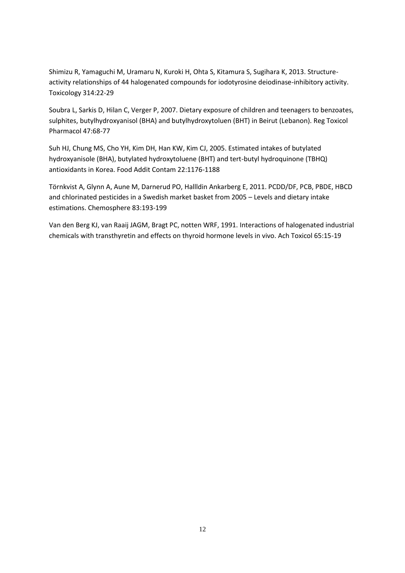Shimizu R, Yamaguchi M, Uramaru N, Kuroki H, Ohta S, Kitamura S, Sugihara K, 2013. Structureactivity relationships of 44 halogenated compounds for iodotyrosine deiodinase-inhibitory activity. Toxicology 314:22-29

Soubra L, Sarkis D, Hilan C, Verger P, 2007. Dietary exposure of children and teenagers to benzoates, sulphites, butylhydroxyanisol (BHA) and butylhydroxytoluen (BHT) in Beirut (Lebanon). Reg Toxicol Pharmacol 47:68-77

Suh HJ, Chung MS, Cho YH, Kim DH, Han KW, Kim CJ, 2005. Estimated intakes of butylated hydroxyanisole (BHA), butylated hydroxytoluene (BHT) and tert-butyl hydroquinone (TBHQ) antioxidants in Korea. Food Addit Contam 22:1176-1188

Törnkvist A, Glynn A, Aune M, Darnerud PO, Hallldin Ankarberg E, 2011. PCDD/DF, PCB, PBDE, HBCD and chlorinated pesticides in a Swedish market basket from 2005 – Levels and dietary intake estimations. Chemosphere 83:193-199

Van den Berg KJ, van Raaij JAGM, Bragt PC, notten WRF, 1991. Interactions of halogenated industrial chemicals with transthyretin and effects on thyroid hormone levels in vivo. Ach Toxicol 65:15-19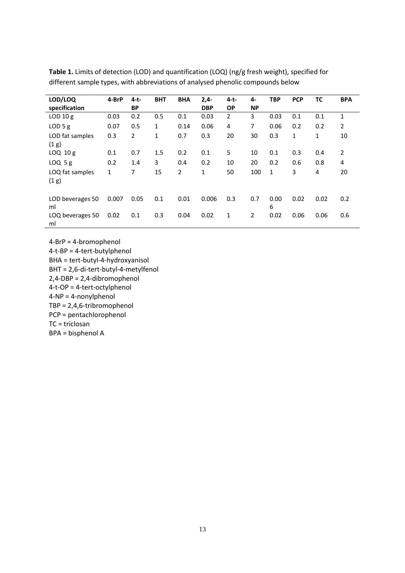| LOD/LOQ          | 4-BrP | $4-t-$         | <b>BHT</b>   | <b>BHA</b> | $2,4-$     | $4-t-$    | 4-             | <b>TBP</b>   | <b>PCP</b> | ΤС   | <b>BPA</b>     |
|------------------|-------|----------------|--------------|------------|------------|-----------|----------------|--------------|------------|------|----------------|
| specification    |       | <b>BP</b>      |              |            | <b>DBP</b> | <b>OP</b> | <b>NP</b>      |              |            |      |                |
| $LOD$ 10 $g$     | 0.03  | 0.2            | 0.5          | 0.1        | 0.03       | 2         | 3              | 0.03         | 0.1        | 0.1  | 1              |
| $LOD$ 5 g        | 0.07  | 0.5            | 1            | 0.14       | 0.06       | 4         | $\overline{7}$ | 0.06         | 0.2        | 0.2  | $\overline{2}$ |
| LOD fat samples  | 0.3   | $\overline{2}$ | $\mathbf{1}$ | 0.7        | 0.3        | 20        | 30             | 0.3          | 1          | 1    | 10             |
| (1 g)            |       |                |              |            |            |           |                |              |            |      |                |
| $LOQ$ 10 $g$     | 0.1   | 0.7            | 1.5          | 0.2        | 0.1        | 5         | 10             | 0.1          | 0.3        | 0.4  | $\overline{2}$ |
| $LOQ$ 5 g        | 0.2   | 1.4            | 3            | 0.4        | 0.2        | 10        | 20             | 0.2          | 0.6        | 0.8  | 4              |
| LOQ fat samples  | 1     | 7              | 15           | 2          | 1          | 50        | 100            | $\mathbf{1}$ | 3          | 4    | 20             |
| (1 g)            |       |                |              |            |            |           |                |              |            |      |                |
|                  |       |                |              |            |            |           |                |              |            |      |                |
| LOD beverages 50 | 0.007 | 0.05           | 0.1          | 0.01       | 0.006      | 0.3       | 0.7            | 0.00         | 0.02       | 0.02 | 0.2            |
| ml               |       |                |              |            |            |           |                | 6            |            |      |                |
| LOQ beverages 50 | 0.02  | 0.1            | 0.3          | 0.04       | 0.02       | 1         | 2              | 0.02         | 0.06       | 0.06 | 0.6            |
| ml               |       |                |              |            |            |           |                |              |            |      |                |

**Table 1.** Limits of detection (LOD) and quantification (LOQ) (ng/g fresh weight), specified for different sample types, with abbreviations of analysed phenolic compounds below

4-BrP = 4-bromophenol 4-t-BP = 4-tert-butylphenol BHA = tert-butyl-4-hydroxyanisol BHT = 2,6-di-tert-butyl-4-metylfenol 2,4-DBP = 2,4-dibromophenol 4-t-OP = 4-tert-octylphenol 4-NP = 4-nonylphenol TBP = 2,4,6-tribromophenol PCP = pentachlorophenol TC = triclosan BPA = bisphenol A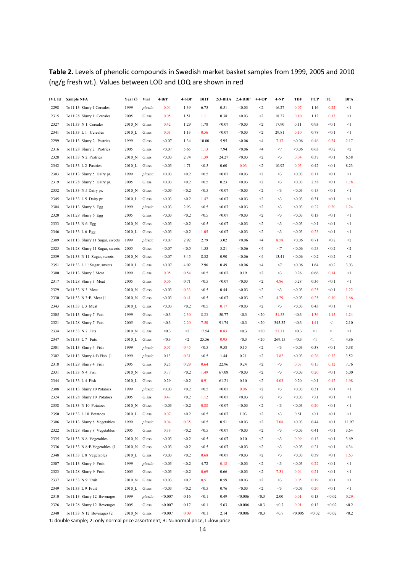# **Table 2.** Levels of phenolic compounds in Swedish market basket samples from 1999, 2005 and 2010 (ng/g fresh wt.). Values between LOD and LOQ are shown in red

| IVL Id | <b>Sample NFA</b>               | Year <sub>(3</sub>    | <b>Vial</b> | 4-BrP   | $4-t-BP$ | <b>BHT</b> | $2/3$ -BHA | 2.4-DBP | $4-t-OP$  | $4-NP$          | <b>TBF</b> | PCP    | TC     | <b>BPA</b> |
|--------|---------------------------------|-----------------------|-------------|---------|----------|------------|------------|---------|-----------|-----------------|------------|--------|--------|------------|
| 2298   | To11:13 Slurry 1 Cereales       | 1999                  | plastic     | 0.04    | 1.39     | 6.75       | 0.51       | < 0.03  | $\leq$    | 16.27           | 0.07       | 1.16   | 0.22   | $\leq$ 1   |
| 2315   | To11:28 Slurry 1 Cereales       | 2005                  | Glass       | 0.05    | 1.51     | 1.11       | 0.38       | < 0.03  | $<$ 2     | 18.27           | 0.10       | 1.12   | 0.13   | <1         |
| 2327   | To11:33 N 1 Cereales            | 2010 N                | Glass       | 0.42    | 1.29     | 1.78       | < 0.07     | < 0.03  | $<$ 2     | 17.90           | 0.11       | 0.93   | < 0.1  | <1         |
| 2341   | To11:33 L 1 Cereales            | 2010 L                | Glass       | 0.03    | 1.13     | 0.56       | < 0.07     | < 0.03  | $\leq$    | 29.81           | 0.10       | 0.78   | < 0.1  | <1         |
| 2299   | To11:13 Slurry 2 Pastries       | 1999                  | Glass       | < 0.07  | 1.34     | 10.00      | 5.95       | < 0.06  | $\leq 4$  | 7.17            | < 0.06     | 0.46   | 0.24   | 2.17       |
| 2316   | To11:28 Slurry 2 Pastries       | 2005                  | Glass       | < 0.07  | 5.65     | 1.13       | 7.94       | < 0.06  | $\leq$ 4  | $<$ 7           | < 0.06     | 0.63   | < 0.2  | $<$ 2      |
| 2328   | To11:33 N 2 Pastries            | $2010$ N              | Glass       | < 0.03  | 2.74     | 1.39       | 24.27      | < 0.03  | $<$ 2     | $<$ 3           | 0.04       | 0.37   | < 0.1  | 6.58       |
| 2342   | To11:33 L 2 Pastries            | $2010$ <sub>L</sub>   | Glass       | < 0.03  | 4.71     | < 0.5      | 0.60       | 0.03    | $<$ 2     | 10.92           | 0.05       | 0.42   | < 0.1  | 8.23       |
| 2303   | To11:13 Slurry 5 Dairy pr.      | 1999                  | plastic     | < 0.03  | < 0.2    | < 0.5      | < 0.07     | < 0.03  | $<$ 2     | $<$ 3           | < 0.03     | 0.11   | < 0.1  | <1         |
| 2319   | To11:28 Slurry 5 Dairy pr.      | 2005                  | Glass       | < 0.03  | < 0.2    | < 0.5      | 0.23       | < 0.03  | $<$ 2     | $\triangleleft$ | < 0.03     | 2.38   | < 0.1  | 1.78       |
| 2332   | To11:33 N 5 Dairy pr.           | $2010$ N              | Glass       | < 0.03  | < 0.2    | < 0.5      | < 0.07     | < 0.03  | $<$ 2     | $\triangleleft$ | < 0.03     | 0.13   | < 0.1  | <1         |
| 2345   | To11:33 L 5 Dairy pr.           | 2010 L                | Glass       | < 0.03  | < 0.2    | 1.47       | < 0.07     | < 0.03  | $<$ 2     | $<$ 3           | < 0.03     | 0.31   | < 0.1  | <1         |
| 2304   | To11:13 Slurry 6 Egg            | 1999                  | plastic     | < 0.03  | 2.93     | < 0.5      | < 0.07     | < 0.03  | $<$ 2     | $<$ 3           | < 0.03     | 0.27   | 0.20   | 1.24       |
| 2320   | To11:28 Slurry 6 Egg            | 2005                  | Glass       | < 0.03  | < 0.2    | < 0.5      | < 0.07     | < 0.03  | $<$ 2     | $<$ 3           | < 0.03     | 0.13   | < 0.1  | <1         |
| 2333   | To11:33 N 6 Egg                 | $2010$ N              | Glass       | < 0.03  | < 0.2    | < 0.5      | < 0.07     | < 0.03  | $<$ 2     | $\leq$          | < 0.03     | < 0.1  | < 0.1  | $<$ 1      |
| 2346   | To11:33 L 6 Egg                 | $2010$ _L             | Glass       | < 0.03  | < 0.2    | 1.05       | < 0.07     | < 0.03  | $<$ 2     | $<$ 3           | < 0.03     | 0.23   | < 0.1  | <1         |
| 2309   | To11:13 Slurry 11 Sugar, sweets | 1999                  | plastic     | < 0.07  | 2.92     | 2.79       | 3.02       | < 0.06  | $<$ 4     | 8.58            | < 0.06     | 0.71   | < 0.2  | $\leq$     |
| 2325   | To11:28 Slurry 11 Sugar, sweets | 2005                  | Glass       | < 0.07  | < 0.5    | 1.53       | 3.21       | < 0.06  | $\leq$ 4  | $<$ 7           | < 0.06     | 0.23   | < 0.2  | $\leq$     |
| 2339   | To11:33 N 11 Sugar, sweets      | $2010$ N              | Glass       | < 0.07  | 3.45     | 8.32       | 0.90       | < 0.06  | $\leq 4$  | 13.41           | < 0.06     | < 0.2  | < 0.2  | $<$ $\!2$  |
| 2351   | To11:33 L 11 Sugar, sweets      | 2010 L                | Glass       | < 0.07  | 4.02     | 2.96       | 0.49       | < 0.06  | $\leq 4$  | $<$ 7           | < 0.06     | 1.64   | < 0.2  | 3.03       |
| 2300   | To11:13 Slurry 3 Meat           | 1999                  | Glass       | 0.05    | 0.54     | < 0.5      | < 0.07     | 0.19    | $<$ 2     | $<$ 3           | 0.26       | 0.66   | 0.14   | $\leq$ 1   |
| 2317   | To11:28 Slurry 3 Meat           | 2005                  | Glass       | 0.06    | 0.71     | < 0.5      | < 0.07     | < 0.03  | $<$ 2     | 4.86            | 0.28       | 0.36   | < 0.1  | $\leq$ 1   |
| 2329   | To11:33 N 3 Meat                | $2010$ N              | Glass       | < 0.03  | 0.33     | < 0.5      | 0.44       | < 0.03  | $<$ 2     | $<$ 3           | < 0.03     | 0.25   | < 0.1  | 1.22       |
| 2330   | To11:33 N 3-B Meat (1           | $2010$ N              | Glass       | < 0.03  | 0.41     | < 0.5      | < 0.07     | < 0.03  | $<$ 2     | 4.29            | < 0.03     | 0.25   | 0.10   | 1.66       |
| 2343   | To11:33 L 3 Meat                | $2010$ <sub>L</sub>   | Glass       | < 0.03  | < 0.2    | < 0.5      | 0.17       | < 0.03  | $<$ 2     | $<$ 3           | < 0.03     | 0.43   | < 0.1  | <1         |
| 2305   | To11:13 Slurry 7 Fats           | 1999                  | Glass       | < 0.3   | 2.30     | 8.23       | 50.77      | < 0.3   | $20$      | 31.53           | < 0.3      | 1.36   | 1.15   | 1.24       |
| 2321   | To11:28 Slurry 7 Fats           | 2005                  | Glass       | < 0.3   | 2.20     | 7.50       | 91.74      | < 0.3   | $20$      | 345.32          | < 0.3      | 1.41   | $<$ 1  | 2.10       |
| 2334   | To11:33 N 7 Fats                | $2010$ N              | Glass       | < 0.3   | $<$ 2    | 17.54      | 0.83       | < 0.3   | $20$      | 51.11           | < 0.3      | <1     | <1     | $\leq$ 1   |
| 2347   | To11:33 L 7 Fats                | $2010$ <sub>L</sub>   | Glass       | < 0.3   | $<$ 2    | 25.56      | 0.95       | < 0.3   | $20$      | 269.15          | < 0.3      | <1     | <1     | 4.86       |
| 2301   | To11:13 Slurry 4 Fish           | 1999                  | plastic     | 0.05    | 0.45     | < 0.5      | 9.58       | 0.15    | $<$ 2     | $<$ 3           | < 0.03     | 0.38   | < 0.1  | 5.38       |
| 2302   | To11:13 Slurry 4-B Fish (1      | 1999                  | plastic     | 0.13    | 0.31     | < 0.5      | 1.44       | 0.21    | $<$ 2     | 3.82            | < 0.03     | 0.26   | 0.32   | 3.52       |
| 2318   | To11:28 Slurry 4 Fish           | 2005                  | Glass       | 0.25    | 0.29     | 0.64       | 22.96      | 0.24    | $<$ 2     | $<$ 3           | 0.07       | 0.15   | 0.12   | 7.76       |
| 2331   | To11:33 N 4 Fish                | 2010 N                | Glass       | 0.77    | < 0.2    | 1.49       | 67.08      | < 0.03  | $\leq$    | $<$ 3           | < 0.03     | 0.20   | < 0.1  | 5.00       |
| 2344   | To11:33 L 4 Fish                | $2010$ <sub>_</sub> L | Glass       | 0.29    | < 0.2    | 0.91       | 61.21      | 0.10    | $\leq$    | 4.03            | 0.20       | < 0.1  | 0.12   | 1.98       |
| 2308   | To11:13 Slurry 10 Potatoes      | 1999                  | plastic     | < 0.03  | < 0.2    | < 0.5      | < 0.07     | 0.06    | $<$ 2     | $\triangleleft$ | < 0.03     | 0.31   | < 0.1  | $\leq$ 1   |
| 2324   | To11:28 Slurry 10 Potatoes      | 2005                  | Glass       | 0.47    | < 0.2    | 1.12       | < 0.07     | < 0.03  | $<$ 2     | $<$ 3           | < 0.03     | < 0.1  | < 0.1  | <1         |
| 2338   | To11:33 N 10 Potatoes           | $2010$ N              | Glass       | < 0.03  | < 0.2    | 0.88       | < 0.07     | < 0.03  | $<$ 2     | $\triangleleft$ | < 0.03     | 0.20   | < 0.1  | <1         |
| 2350   | To11:33 L 10 Potatoes           | 2010 L                | Glass       | 0.07    | < 0.2    | < 0.5      | < 0.07     | 1.03    | $<$ 2     | $<$ 3           | $0.61\,$   | < 0.1  | < 0.1  | <1         |
| 2306   | To11:13 Slurry 8 Vegetables     | 1999                  | plastic     | 0.04    | 0.35     | < 0.5      | 0.51       | < 0.03  | $<$ 2     | 7.08            | < 0.03     | 0.44   | < 0.1  | 11.97      |
| 2322   | To11:28 Slurry 8 Vegetables     | 2005                  | Glass       | 0.38    | < 0.2    | < 0.5      | < 0.07     | < 0.03  | $<\!\!2$  | $<$ 3           | < 0.03     | 0.41   | < 0.1  | 3.64       |
| 2335   | To11:33 N 8 Vegetables          | 2010_N                | Glass       | < 0.03  | < 0.2    | < 0.5      | < 0.07     | 0.10    | $<\!\!2$  | $<$ 3           | 0.09       | 0.13   | < 0.1  | 3.69       |
| 2336   | To11:33 N 8-B Vegetables (1     | $2010$ N              | Glass       | < 0.03  | < 0.2    | < 0.5      | < 0.07     | < 0.03  | $<$ 2     | <3              | < 0.03     | 0.21   | < 0.1  | 4.34       |
| 2348   | To11:33 L 8 Vegetables          | $2010$ <sub>L</sub>   | Glass       | < 0.03  | < 0.2    | 0.68       | < 0.07     | < 0.03  | $<$ 2     | <3              | < 0.03     | 0.39   | < 0.1  | 1.63       |
| 2307   | To11:13 Slurry 9 Fruit          | 1999                  | plastic     | < 0.03  | < 0.2    | 4.72       | 0.18       | < 0.03  | $<$ 2     | $<$ 3           | < 0.03     | 0.22   | < 0.1  | <1         |
| 2323   | To11:28 Slurry 9 Fruit          | 2005                  | Glass       | < 0.03  | < 0.2    | 0.69       | 0.66       | < 0.03  | $<$ 2     | 7.31            | 0.04       | 0.21   | < 0.1  | $<$ 1      |
| 2337   | To11:33 N 9 Fruit               | $2010$ N              | Glass       | < 0.03  | < 0.2    | 0.51       | 0.59       | < 0.03  | $<$ 2     | $<$ 3           | 0.05       | 0.19   | < 0.1  | $<$ 1      |
| 2349   | To11:33 L 9 Fruit               | $2010$ <sub>L</sub>   | Glass       | < 0.03  | < 0.2    | < 0.5      | 0.76       | < 0.03  | $<$ $\!2$ | $<$ 3           | < 0.03     | 0.20   | < 0.1  | $\leq$ 1   |
| 2310   | To11:13 Slurry 12 Beverages     | 1999                  | plastic     | < 0.007 | 0.16     | < 0.1      | 0.49       | < 0.006 | < 0.3     | 2.00            | 0.01       | 0.13   | < 0.02 | 0.29       |
| 2326   | To11:28 Slurry 12 Beverages     | 2005                  | Glass       | < 0.007 | 0.17     | < 0.1      | 5.63       | < 0.006 | < 0.3     | < 0.7           | 0.01       | 0.13   | < 0.02 | < 0.2      |
| 2340   | To11:33 N 12 Beverages (2       | $2010$ <sup>N</sup>   | Glass       | < 0.007 | 0.09     | < 0.1      | 2.14       | < 0.006 | < 0.3     | < 0.7           | < 0.006    | < 0.02 | < 0.02 | < 0.2      |
|        |                                 |                       |             |         |          |            |            |         |           |                 |            |        |        |            |

1: double sample; 2: only normal price assortment; 3: N=normal price, L=low price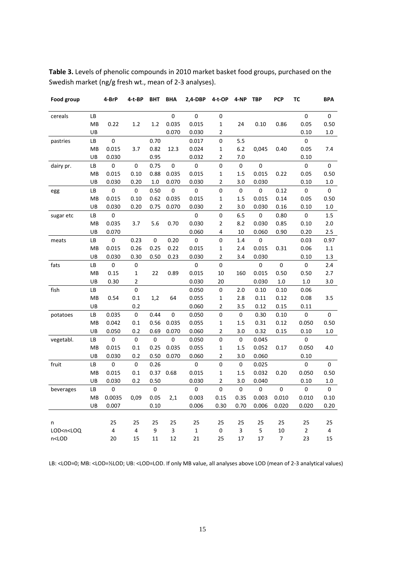| Food group                                                                                                                                                                                                                      |    | 4-BrP       | 4-t-BP         | ВНТ         | BHA       | 2,4-DBP     | 4-t-OP         | 4-NP        | <b>TBP</b>  | <b>PCP</b>  | тс          | <b>BPA</b>   |
|---------------------------------------------------------------------------------------------------------------------------------------------------------------------------------------------------------------------------------|----|-------------|----------------|-------------|-----------|-------------|----------------|-------------|-------------|-------------|-------------|--------------|
| cereals                                                                                                                                                                                                                         | LВ |             |                |             | $\pmb{0}$ | $\pmb{0}$   | 0              |             |             |             | 0           | $\mathbf{0}$ |
|                                                                                                                                                                                                                                 | MB | 0.22        | 1.2            | 1.2         | 0.035     | 0.015       | $\mathbf 1$    | 24          | 0.10        | 0.86        | 0.05        | 0.50         |
|                                                                                                                                                                                                                                 | UB |             |                |             | 0.070     | 0.030       | 2              |             |             |             | 0.10        | 1.0          |
| pastries                                                                                                                                                                                                                        | LB | $\pmb{0}$   |                | 0.70        |           | 0.017       | 0              | 5.5         |             |             | 0           |              |
|                                                                                                                                                                                                                                 | MB | 0.015       | 3.7            | 0.82        | 12.3      | 0.024       | $\mathbf{1}$   | 6.2         | 0,045       | 0.40        | 0.05        | 7.4          |
|                                                                                                                                                                                                                                 | UB | 0.030       |                | 0.95        |           | 0.032       | $\overline{2}$ | 7.0         |             |             | 0.10        |              |
| dairy pr.                                                                                                                                                                                                                       | LВ | 0           | $\mathbf 0$    | 0.75        | 0         | 0           | 0              | 0           | $\mathbf 0$ |             | 0           | 0            |
|                                                                                                                                                                                                                                 | MB | 0.015       | 0.10           | 0.88        | 0.035     | 0.015       | $\mathbf{1}$   | 1.5         | 0.015       | 0.22        | 0.05        | 0.50         |
|                                                                                                                                                                                                                                 | UB | 0.030       | 0.20           | $1.0\,$     | 0.070     | 0.030       | $\overline{2}$ | 3.0         | 0.030       |             | 0.10        | 1.0          |
| egg                                                                                                                                                                                                                             | LВ | $\mathbf 0$ | 0              | 0.50        | 0         | 0           | 0              | $\mathbf 0$ | $\mathbf 0$ | 0.12        | 0           | 0            |
|                                                                                                                                                                                                                                 | MB | 0.015       | 0.10           | 0.62        | 0.035     | 0.015       | $\mathbf{1}$   | 1.5         | 0.015       | 0.14        | 0.05        | 0.50         |
|                                                                                                                                                                                                                                 | UB | 0.030       | 0.20           | 0.75        | 0.070     | 0.030       | 2              | 3.0         | 0.030       | 0.16        | 0.10        | 1.0          |
| sugar etc                                                                                                                                                                                                                       | LВ | 0           |                |             |           | 0           | 0              | 6.5         | 0           | 0.80        | 0           | 1.5          |
|                                                                                                                                                                                                                                 | МB | 0.035       | 3.7            | 5.6         | 0.70      | 0.030       | $\overline{2}$ | 8.2         | 0.030       | 0.85        | 0.10        | $2.0$        |
|                                                                                                                                                                                                                                 | UB | 0.070       |                |             |           | 0.060       | 4              | 10          | 0.060       | 0.90        | 0.20        | 2.5          |
| meats                                                                                                                                                                                                                           | LВ | 0           | 0.23           | $\pmb{0}$   | 0.20      | 0           | 0              | 1.4         | 0           |             | 0.03        | 0.97         |
|                                                                                                                                                                                                                                 | MB | 0.015       | 0.26           | 0.25        | 0.22      | 0.015       | $\mathbf{1}$   | 2.4         | 0.015       | 0.31        | 0.06        | 1.1          |
|                                                                                                                                                                                                                                 | UB | 0.030       | 0.30           | 0.50        | 0.23      | 0.030       | $\overline{2}$ | 3.4         | 0.030       |             | 0.10        | 1.3          |
| fats                                                                                                                                                                                                                            | LВ | $\mathbf 0$ | $\mathbf 0$    |             |           | 0           | 0              |             | $\mathbf 0$ | $\mathbf 0$ | 0           | 2.4          |
|                                                                                                                                                                                                                                 | MB | 0.15        | $\mathbf{1}$   | 22          | 0.89      | 0.015       | 10             | 160         | 0.015       | 0.50        | 0.50        | 2.7          |
|                                                                                                                                                                                                                                 | UB | 0.30        | $\overline{2}$ |             |           | 0.030       | 20             |             | 0.030       | 1.0         | 1.0         | 3.0          |
| fish                                                                                                                                                                                                                            | LВ |             | $\mathbf 0$    |             |           | 0.050       | 0              | 2.0         | 0.10        | 0.10        | 0.06        |              |
|                                                                                                                                                                                                                                 | MB | 0.54        | 0.1            | 1,2         | 64        | 0.055       | $\mathbf{1}$   | 2.8         | 0.11        | 0.12        | 0.08        | 3.5          |
|                                                                                                                                                                                                                                 | UB |             | 0.2            |             |           | 0.060       | 2              | 3.5         | 0.12        | 0.15        | 0.11        |              |
| potatoes                                                                                                                                                                                                                        | LВ | 0.035       | 0              | 0.44        | 0         | 0.050       | 0              | 0           | 0.30        | 0.10        | 0           | 0            |
|                                                                                                                                                                                                                                 | MВ | 0.042       | 0.1            | 0.56        | 0.035     | 0.055       | $\mathbf{1}$   | 1.5         | 0.31        | 0.12        | 0.050       | 0.50         |
|                                                                                                                                                                                                                                 | UB | 0.050       | 0.2            | 0.69        | 0.070     | 0.060       | 2              | 3.0         | 0.32        | 0.15        | 0.10        | 1.0          |
| vegetabl.                                                                                                                                                                                                                       | LB | $\mathbf 0$ | $\pmb{0}$      | $\mathbf 0$ | 0         | 0.050       | 0              | 0           | 0.045       |             | 0           |              |
|                                                                                                                                                                                                                                 | MB | 0.015       | 0.1            | 0.25        | 0.035     | 0.055       | $\mathbf{1}$   | 1.5         | 0.052       | 0.17        | 0.050       | 4.0          |
|                                                                                                                                                                                                                                 | UB | 0.030       | 0.2            | 0.50        | 0.070     | 0.060       | 2              | 3.0         | 0.060       |             | 0.10        |              |
| fruit                                                                                                                                                                                                                           | LВ | 0           | 0              | 0.26        |           | 0           | 0              | 0           | 0.025       |             | 0           | 0            |
|                                                                                                                                                                                                                                 | MB | 0.015       | 0.1            | 0.37        | 0.68      | 0.015       | $\mathbf 1$    | 1.5         | 0.032       | 0.20        | 0.050       | 0.50         |
|                                                                                                                                                                                                                                 | UB | 0.030       | 0.2            | 0.50        |           | 0.030       | 2              | 3.0         | 0.040       |             | 0.10        | 1.0          |
| beverages                                                                                                                                                                                                                       | LВ | 0           |                | 0           |           | 0           | 0              | $\mathbf 0$ | $\mathbf 0$ | 0           | 0           | 0            |
|                                                                                                                                                                                                                                 | MB | 0.0035      | 0,09           | 0.05        | 2,1       | 0.003       | 0.15           | 0.35        | 0.003       | 0.010       | 0.010       | 0.10         |
|                                                                                                                                                                                                                                 | UB | 0.007       |                | 0.10        |           | 0.006       | 0.30           | 0.70        | 0.006       | 0.020       | 0.020       | 0.20         |
|                                                                                                                                                                                                                                 |    |             |                |             |           |             |                |             |             |             |             |              |
| n                                                                                                                                                                                                                               |    | 25          | 25             | 25          | 25        | 25          | 25             | 25          | 25          | 25          | 25          | 25           |
| LOD <n<loq< td=""><td></td><td>4</td><td>4</td><td>9</td><td>3</td><td><math display="inline">\mathbf 1</math></td><td>0</td><td>3</td><td>5</td><td>10</td><td><math display="inline">\mathbf 2</math></td><td>4</td></n<loq<> |    | 4           | 4              | 9           | 3         | $\mathbf 1$ | 0              | 3           | 5           | 10          | $\mathbf 2$ | 4            |
| n <lod< td=""><td></td><td>20</td><td>15</td><td>11</td><td>12</td><td>21</td><td>25</td><td>17</td><td>17</td><td>7</td><td>23</td><td>15</td></lod<>                                                                          |    | 20          | 15             | 11          | 12        | 21          | 25             | 17          | 17          | 7           | 23          | 15           |

**Table 3.** Levels of phenolic compounds in 2010 market basket food groups, purchased on the Swedish market (ng/g fresh wt., mean of 2-3 analyses).

LB: <LOD=0; MB: <LOD=½LOD; UB: <LOD=LOD. If only MB value, all analyses above LOD (mean of 2-3 analytical values)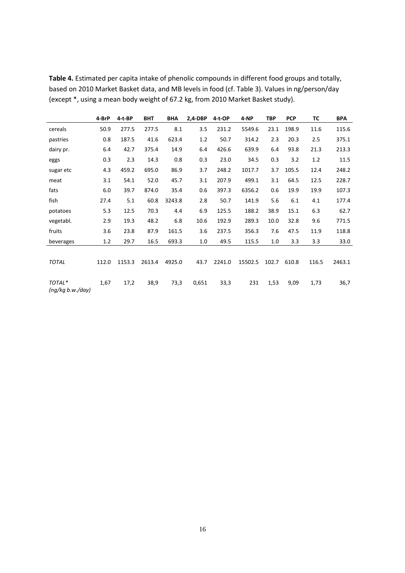|                            | 4-BrP | 4-t-BP | <b>BHT</b> | <b>BHA</b> | 2,4-DBP | 4-t-OP | 4-NP    | <b>TBP</b> | <b>PCP</b> | ТC    | <b>BPA</b> |
|----------------------------|-------|--------|------------|------------|---------|--------|---------|------------|------------|-------|------------|
| cereals                    | 50.9  | 277.5  | 277.5      | 8.1        | 3.5     | 231.2  | 5549.6  | 23.1       | 198.9      | 11.6  | 115.6      |
| pastries                   | 0.8   | 187.5  | 41.6       | 623.4      | 1.2     | 50.7   | 314.2   | 2.3        | 20.3       | 2.5   | 375.1      |
| dairy pr.                  | 6.4   | 42.7   | 375.4      | 14.9       | 6.4     | 426.6  | 639.9   | 6.4        | 93.8       | 21.3  | 213.3      |
| eggs                       | 0.3   | 2.3    | 14.3       | 0.8        | 0.3     | 23.0   | 34.5    | 0.3        | 3.2        | 1.2   | 11.5       |
| sugar etc                  | 4.3   | 459.2  | 695.0      | 86.9       | 3.7     | 248.2  | 1017.7  | 3.7        | 105.5      | 12.4  | 248.2      |
| meat                       | 3.1   | 54.1   | 52.0       | 45.7       | 3.1     | 207.9  | 499.1   | 3.1        | 64.5       | 12.5  | 228.7      |
| fats                       | 6.0   | 39.7   | 874.0      | 35.4       | 0.6     | 397.3  | 6356.2  | 0.6        | 19.9       | 19.9  | 107.3      |
| fish                       | 27.4  | 5.1    | 60.8       | 3243.8     | 2.8     | 50.7   | 141.9   | 5.6        | 6.1        | 4.1   | 177.4      |
| potatoes                   | 5.3   | 12.5   | 70.3       | 4.4        | 6.9     | 125.5  | 188.2   | 38.9       | 15.1       | 6.3   | 62.7       |
| vegetabl.                  | 2.9   | 19.3   | 48.2       | 6.8        | 10.6    | 192.9  | 289.3   | 10.0       | 32.8       | 9.6   | 771.5      |
| fruits                     | 3.6   | 23.8   | 87.9       | 161.5      | 3.6     | 237.5  | 356.3   | 7.6        | 47.5       | 11.9  | 118.8      |
| beverages                  | 1.2   | 29.7   | 16.5       | 693.3      | 1.0     | 49.5   | 115.5   | 1.0        | 3.3        | 3.3   | 33.0       |
|                            |       |        |            |            |         |        |         |            |            |       |            |
| <b>TOTAL</b>               | 112.0 | 1153.3 | 2613.4     | 4925.0     | 43.7    | 2241.0 | 15502.5 | 102.7      | 610.8      | 116.5 | 2463.1     |
|                            |       |        |            |            |         |        |         |            |            |       |            |
| TOTAL*<br>(ng/kg b.w./day) | 1,67  | 17,2   | 38,9       | 73,3       | 0,651   | 33,3   | 231     | 1,53       | 9,09       | 1,73  | 36,7       |

**Table 4.** Estimated per capita intake of phenolic compounds in different food groups and totally, based on 2010 Market Basket data, and MB levels in food (cf. Table 3). Values in ng/person/day (except \*, using a mean body weight of 67.2 kg, from 2010 Market Basket study).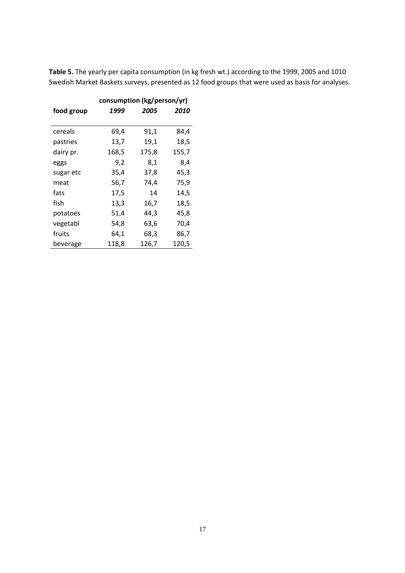| Table 5. The yearly per capita consumption (in kg fresh wt.) according to the 1999, 2005 and 1010 |
|---------------------------------------------------------------------------------------------------|
| Swedish Market Baskets surveys, presented as 12 food groups that were used as basis for analyses. |
|                                                                                                   |

|            | consumption (kg/person/yr) |       |       |  |  |  |  |  |  |
|------------|----------------------------|-------|-------|--|--|--|--|--|--|
| food group | 1999                       | 2005  | 2010  |  |  |  |  |  |  |
|            |                            |       |       |  |  |  |  |  |  |
| cereals    | 69,4                       | 91,1  | 84,4  |  |  |  |  |  |  |
| pastries   | 13,7                       | 19,1  | 18,5  |  |  |  |  |  |  |
| dairy pr.  | 168,5                      | 175,8 | 155,7 |  |  |  |  |  |  |
| eggs       | 9,2                        | 8,1   | 8,4   |  |  |  |  |  |  |
| sugar etc  | 35,4                       | 37,8  | 45,3  |  |  |  |  |  |  |
| meat       | 56,7                       | 74,4  | 75,9  |  |  |  |  |  |  |
| fats       | 17,5                       | 14    | 14,5  |  |  |  |  |  |  |
| fish       | 13,3                       | 16,7  | 18,5  |  |  |  |  |  |  |
| potatoes   | 51,4                       | 44,3  | 45,8  |  |  |  |  |  |  |
| vegetabl   | 54,8                       | 63,6  | 70,4  |  |  |  |  |  |  |
| fruits     | 64,1                       | 68,3  | 86,7  |  |  |  |  |  |  |
| beverage   | 118,8                      | 126,7 | 120,5 |  |  |  |  |  |  |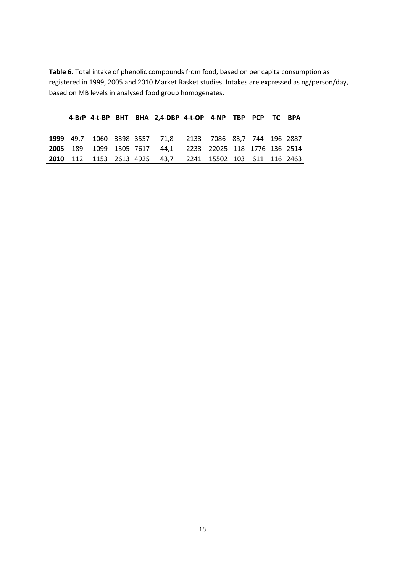**Table 6.** Total intake of phenolic compounds from food, based on per capita consumption as registered in 1999, 2005 and 2010 Market Basket studies. Intakes are expressed as ng/person/day, based on MB levels in analysed food group homogenates.

|  |  | 4-BrP 4-t-BP BHT BHA 2,4-DBP 4-t-OP 4-NP TBP PCP TC BPA          |  |  |  |
|--|--|------------------------------------------------------------------|--|--|--|
|  |  |                                                                  |  |  |  |
|  |  | 1999 49,7 1060 3398 3557 71,8 2133 7086 83,7 744 196 2887        |  |  |  |
|  |  | <b>2005</b> 189 1099 1305 7617 44.1 2233 22025 118 1776 136 2514 |  |  |  |
|  |  | 2010 112 1153 2613 4925 43.7 2241 15502 103 611 116 2463         |  |  |  |

18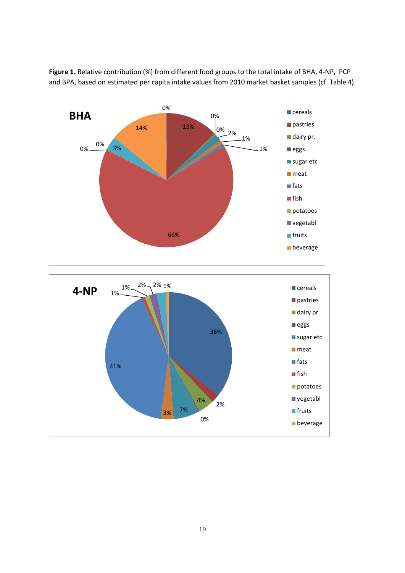

**Figure 1.** Relative contribution (%) from different food groups to the total intake of BHA, 4-NP, PCP and BPA, based on estimated per capita intake values from 2010 market basket samples (cf. Table 4).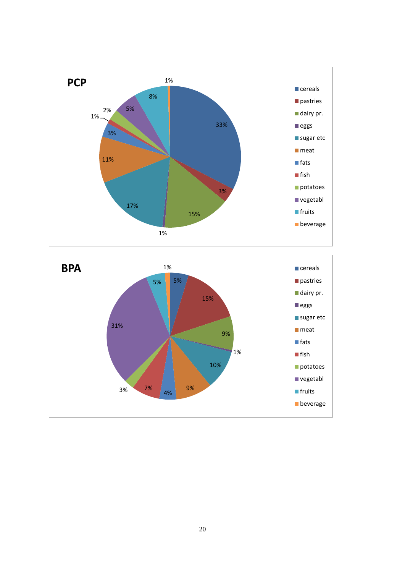